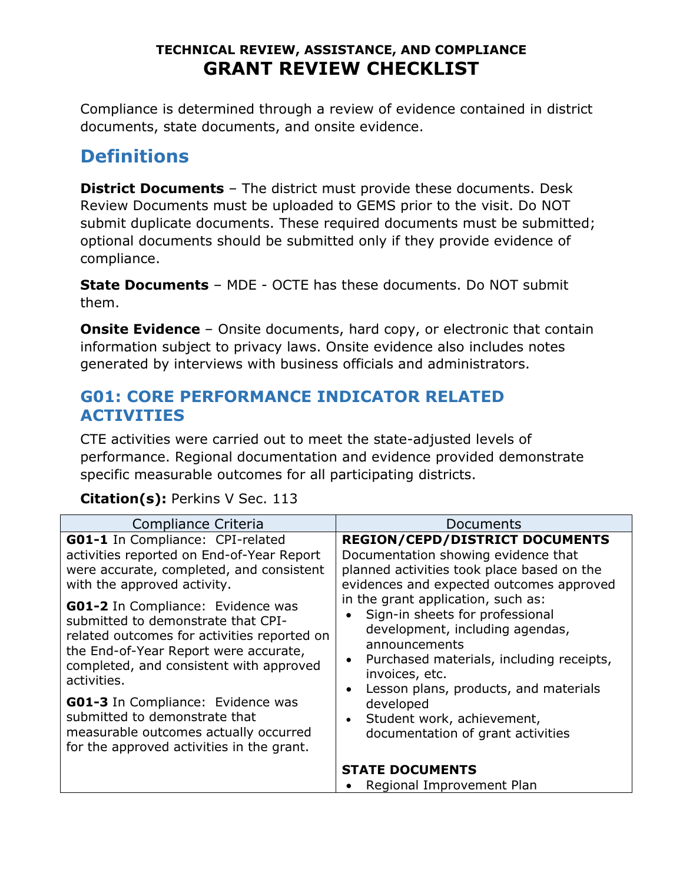Compliance is determined through a review of evidence contained in district documents, state documents, and onsite evidence.

# **Definitions**

**District Documents** – The district must provide these documents. Desk Review Documents must be uploaded to GEMS prior to the visit. Do NOT submit duplicate documents. These required documents must be submitted; optional documents should be submitted only if they provide evidence of compliance.

**State Documents** – MDE - OCTE has these documents. Do NOT submit them.

**Onsite Evidence** - Onsite documents, hard copy, or electronic that contain information subject to privacy laws. Onsite evidence also includes notes generated by interviews with business officials and administrators.

### **G01: CORE PERFORMANCE INDICATOR RELATED ACTIVITIES**

CTE activities were carried out to meet the state-adjusted levels of performance. Regional documentation and evidence provided demonstrate specific measurable outcomes for all participating districts.

#### **Citation(s):** Perkins V Sec. 113

| Compliance Criteria                         | Documents                                           |
|---------------------------------------------|-----------------------------------------------------|
| GO1-1 In Compliance: CPI-related            | <b>REGION/CEPD/DISTRICT DOCUMENTS</b>               |
| activities reported on End-of-Year Report   | Documentation showing evidence that                 |
| were accurate, completed, and consistent    | planned activities took place based on the          |
| with the approved activity.                 | evidences and expected outcomes approved            |
| <b>G01-2</b> In Compliance: Evidence was    | in the grant application, such as:                  |
| submitted to demonstrate that CPI-          | Sign-in sheets for professional                     |
| related outcomes for activities reported on | development, including agendas,                     |
| the End-of-Year Report were accurate,       | announcements                                       |
| completed, and consistent with approved     | Purchased materials, including receipts,            |
| activities.                                 | invoices, etc.                                      |
| <b>G01-3</b> In Compliance: Evidence was    | Lesson plans, products, and materials               |
| submitted to demonstrate that               | developed                                           |
| measurable outcomes actually occurred       | Student work, achievement,                          |
| for the approved activities in the grant.   | documentation of grant activities                   |
|                                             | <b>STATE DOCUMENTS</b><br>Regional Improvement Plan |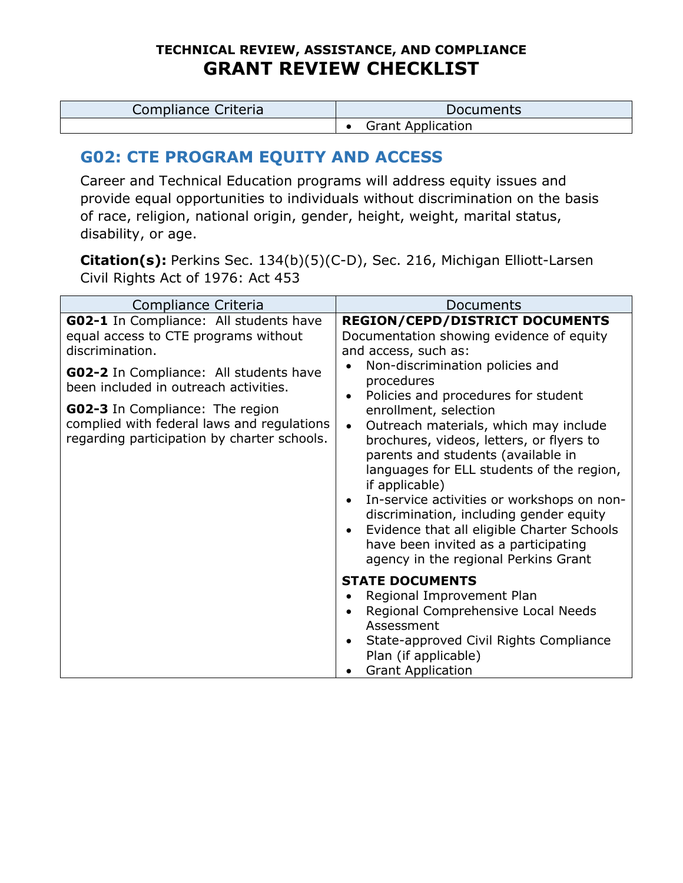| Compliance Criteria | Documents                |
|---------------------|--------------------------|
|                     | <b>Grant Application</b> |

# **G02: CTE PROGRAM EQUITY AND ACCESS**

Career and Technical Education programs will address equity issues and provide equal opportunities to individuals without discrimination on the basis of race, religion, national origin, gender, height, weight, marital status, disability, or age.

**Citation(s):** Perkins Sec. 134(b)(5)(C-D), Sec. 216, Michigan Elliott-Larsen Civil Rights Act of 1976: Act 453

| Compliance Criteria                                                                                                                 | Documents                                                                                                                                                                                                                                                                                                                                                                                                                                                                                                            |
|-------------------------------------------------------------------------------------------------------------------------------------|----------------------------------------------------------------------------------------------------------------------------------------------------------------------------------------------------------------------------------------------------------------------------------------------------------------------------------------------------------------------------------------------------------------------------------------------------------------------------------------------------------------------|
| GO2-1 In Compliance: All students have<br>equal access to CTE programs without<br>discrimination.                                   | <b>REGION/CEPD/DISTRICT DOCUMENTS</b><br>Documentation showing evidence of equity<br>and access, such as:<br>Non-discrimination policies and                                                                                                                                                                                                                                                                                                                                                                         |
| <b>G02-2</b> In Compliance: All students have<br>been included in outreach activities.                                              | procedures                                                                                                                                                                                                                                                                                                                                                                                                                                                                                                           |
| <b>G02-3</b> In Compliance: The region<br>complied with federal laws and regulations<br>regarding participation by charter schools. | Policies and procedures for student<br>enrollment, selection<br>Outreach materials, which may include<br>$\bullet$<br>brochures, videos, letters, or flyers to<br>parents and students (available in<br>languages for ELL students of the region,<br>if applicable)<br>In-service activities or workshops on non-<br>$\bullet$<br>discrimination, including gender equity<br>Evidence that all eligible Charter Schools<br>$\bullet$<br>have been invited as a participating<br>agency in the regional Perkins Grant |
|                                                                                                                                     | <b>STATE DOCUMENTS</b><br>Regional Improvement Plan<br>Regional Comprehensive Local Needs<br>Assessment<br>State-approved Civil Rights Compliance<br>Plan (if applicable)<br><b>Grant Application</b>                                                                                                                                                                                                                                                                                                                |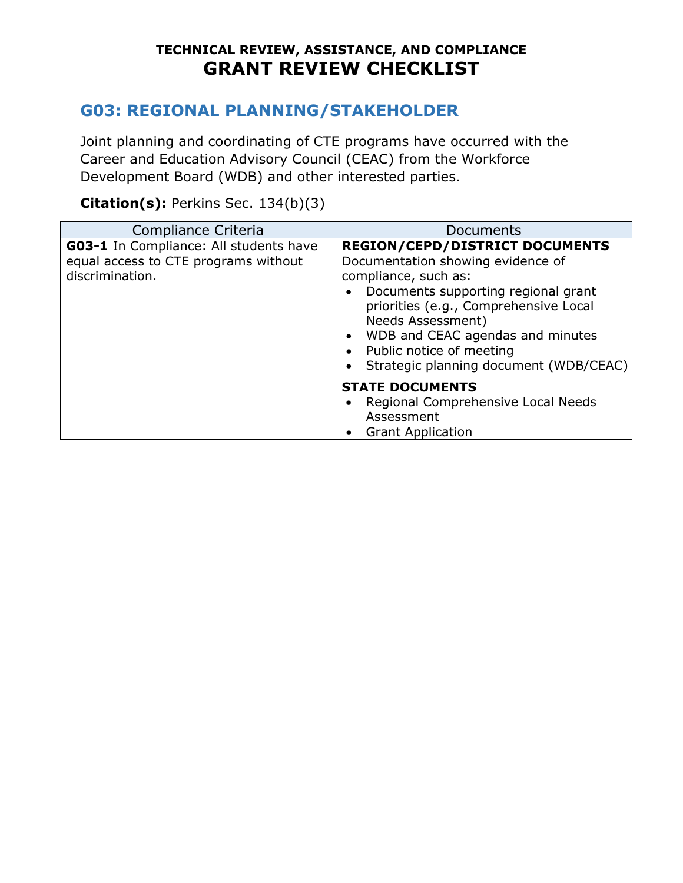# **G03: REGIONAL PLANNING/STAKEHOLDER**

Joint planning and coordinating of CTE programs have occurred with the Career and Education Advisory Council (CEAC) from the Workforce Development Board (WDB) and other interested parties.

#### **Citation(s):** Perkins Sec. 134(b)(3)

| Compliance Criteria                                                                               | Documents                                                                                                                                                                                                                                                                                                                                   |
|---------------------------------------------------------------------------------------------------|---------------------------------------------------------------------------------------------------------------------------------------------------------------------------------------------------------------------------------------------------------------------------------------------------------------------------------------------|
| G03-1 In Compliance: All students have<br>equal access to CTE programs without<br>discrimination. | <b>REGION/CEPD/DISTRICT DOCUMENTS</b><br>Documentation showing evidence of<br>compliance, such as:<br>Documents supporting regional grant<br>priorities (e.g., Comprehensive Local<br>Needs Assessment)<br>WDB and CEAC agendas and minutes<br>$\bullet$<br>Public notice of meeting<br>$\bullet$<br>Strategic planning document (WDB/CEAC) |
|                                                                                                   | <b>STATE DOCUMENTS</b><br>Regional Comprehensive Local Needs<br>Assessment<br><b>Grant Application</b>                                                                                                                                                                                                                                      |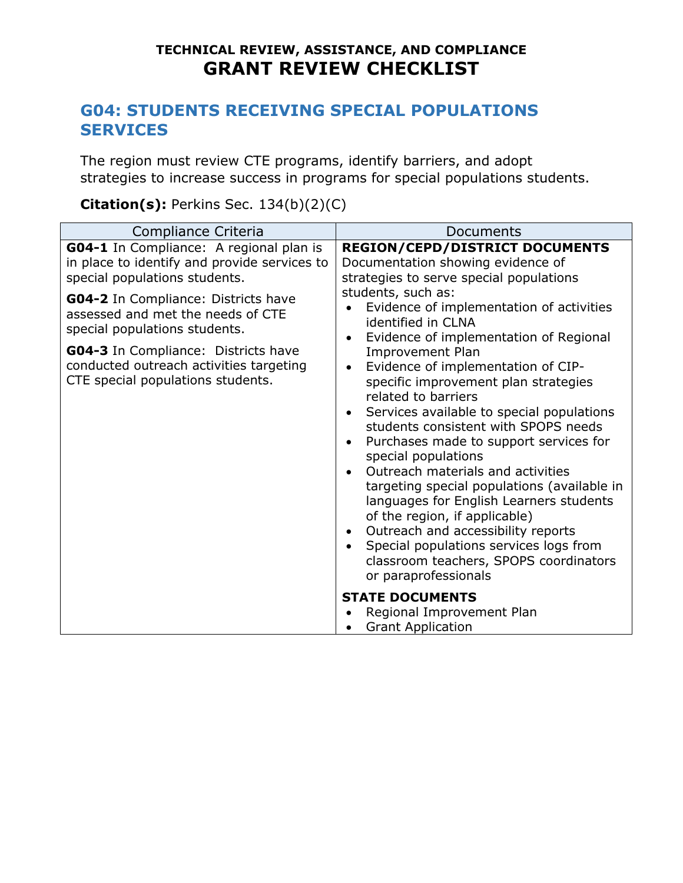### **G04: STUDENTS RECEIVING SPECIAL POPULATIONS SERVICES**

The region must review CTE programs, identify barriers, and adopt strategies to increase success in programs for special populations students.

#### **Citation(s):** Perkins Sec. 134(b)(2)(C)

| Compliance Criteria                                                                                                             | Documents                                                                                                                                                                                                                                                                                                                                                                                                                                                                                                                                                                                                                                                             |
|---------------------------------------------------------------------------------------------------------------------------------|-----------------------------------------------------------------------------------------------------------------------------------------------------------------------------------------------------------------------------------------------------------------------------------------------------------------------------------------------------------------------------------------------------------------------------------------------------------------------------------------------------------------------------------------------------------------------------------------------------------------------------------------------------------------------|
| <b>G04-1</b> In Compliance: A regional plan is<br>in place to identify and provide services to<br>special populations students. | <b>REGION/CEPD/DISTRICT DOCUMENTS</b><br>Documentation showing evidence of<br>strategies to serve special populations                                                                                                                                                                                                                                                                                                                                                                                                                                                                                                                                                 |
| G04-2 In Compliance: Districts have<br>assessed and met the needs of CTE<br>special populations students.                       | students, such as:<br>Evidence of implementation of activities<br>identified in CLNA<br>Evidence of implementation of Regional<br>$\bullet$                                                                                                                                                                                                                                                                                                                                                                                                                                                                                                                           |
| <b>G04-3</b> In Compliance: Districts have<br>conducted outreach activities targeting<br>CTE special populations students.      | <b>Improvement Plan</b><br>Evidence of implementation of CIP-<br>$\bullet$<br>specific improvement plan strategies<br>related to barriers<br>Services available to special populations<br>$\bullet$<br>students consistent with SPOPS needs<br>Purchases made to support services for<br>$\bullet$<br>special populations<br>Outreach materials and activities<br>$\bullet$<br>targeting special populations (available in<br>languages for English Learners students<br>of the region, if applicable)<br>Outreach and accessibility reports<br>$\bullet$<br>Special populations services logs from<br>classroom teachers, SPOPS coordinators<br>or paraprofessionals |
|                                                                                                                                 | <b>STATE DOCUMENTS</b><br>Regional Improvement Plan<br><b>Grant Application</b>                                                                                                                                                                                                                                                                                                                                                                                                                                                                                                                                                                                       |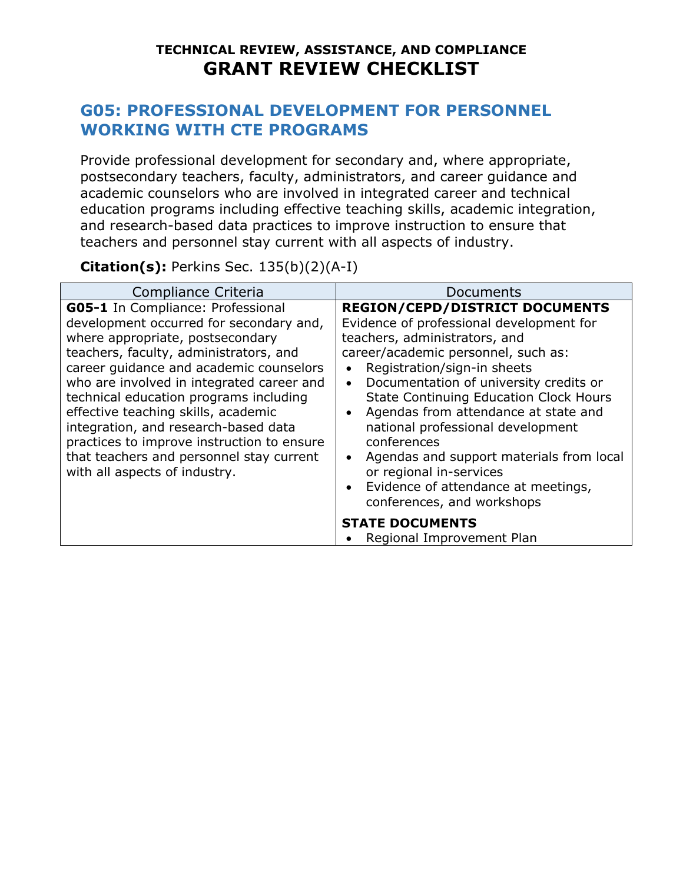#### **G05: PROFESSIONAL DEVELOPMENT FOR PERSONNEL WORKING WITH CTE PROGRAMS**

Provide professional development for secondary and, where appropriate, postsecondary teachers, faculty, administrators, and career guidance and academic counselors who are involved in integrated career and technical education programs including effective teaching skills, academic integration, and research-based data practices to improve instruction to ensure that teachers and personnel stay current with all aspects of industry.

**Citation(s):** Perkins Sec. 135(b)(2)(A-I)

| Compliance Criteria                                                                                                                                                                                                                                                                                                                                                                                                                                                                                    | Documents                                                                                                                                                                                                                                                                                                                                                                                                                                                                                                                                                                                    |
|--------------------------------------------------------------------------------------------------------------------------------------------------------------------------------------------------------------------------------------------------------------------------------------------------------------------------------------------------------------------------------------------------------------------------------------------------------------------------------------------------------|----------------------------------------------------------------------------------------------------------------------------------------------------------------------------------------------------------------------------------------------------------------------------------------------------------------------------------------------------------------------------------------------------------------------------------------------------------------------------------------------------------------------------------------------------------------------------------------------|
| G05-1 In Compliance: Professional<br>development occurred for secondary and,<br>where appropriate, postsecondary<br>teachers, faculty, administrators, and<br>career guidance and academic counselors<br>who are involved in integrated career and<br>technical education programs including<br>effective teaching skills, academic<br>integration, and research-based data<br>practices to improve instruction to ensure<br>that teachers and personnel stay current<br>with all aspects of industry. | <b>REGION/CEPD/DISTRICT DOCUMENTS</b><br>Evidence of professional development for<br>teachers, administrators, and<br>career/academic personnel, such as:<br>Registration/sign-in sheets<br>$\bullet$<br>Documentation of university credits or<br>$\bullet$<br><b>State Continuing Education Clock Hours</b><br>Agendas from attendance at state and<br>$\bullet$<br>national professional development<br>conferences<br>Agendas and support materials from local<br>$\bullet$<br>or regional in-services<br>Evidence of attendance at meetings,<br>$\bullet$<br>conferences, and workshops |
|                                                                                                                                                                                                                                                                                                                                                                                                                                                                                                        | <b>STATE DOCUMENTS</b><br>Regional Improvement Plan                                                                                                                                                                                                                                                                                                                                                                                                                                                                                                                                          |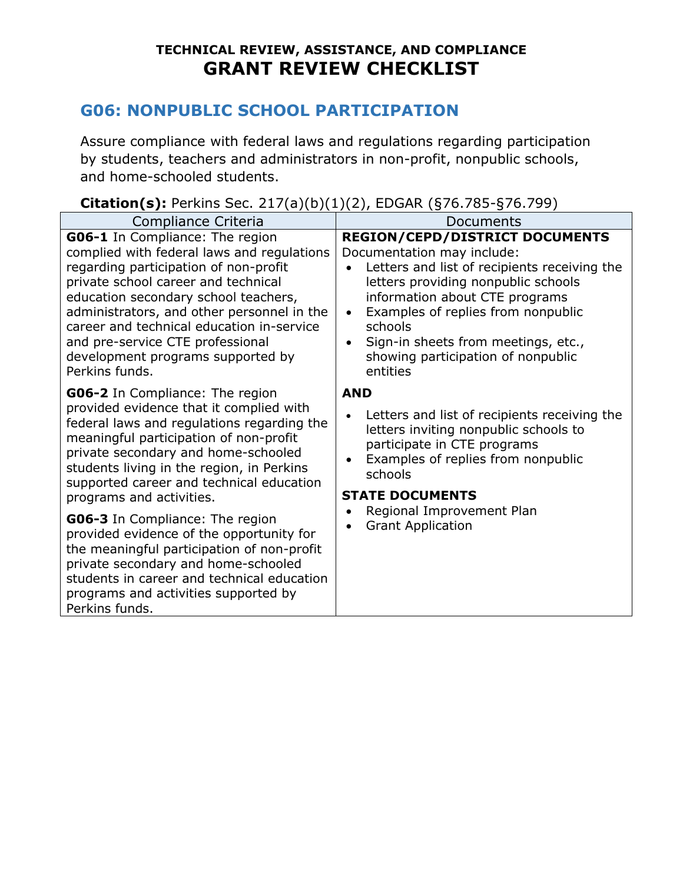# **G06: NONPUBLIC SCHOOL PARTICIPATION**

Assure compliance with federal laws and regulations regarding participation by students, teachers and administrators in non-profit, nonpublic schools, and home-schooled students.

#### **Citation(s):** Perkins Sec. 217(a)(b)(1)(2), EDGAR (§76.785-§76.799)

| Compliance Criteria                                                                                                                                                                                                                                                                                                                                                                         | Documents                                                                                                                                                                                                                                                                                                                                                        |
|---------------------------------------------------------------------------------------------------------------------------------------------------------------------------------------------------------------------------------------------------------------------------------------------------------------------------------------------------------------------------------------------|------------------------------------------------------------------------------------------------------------------------------------------------------------------------------------------------------------------------------------------------------------------------------------------------------------------------------------------------------------------|
| G06-1 In Compliance: The region<br>complied with federal laws and regulations<br>regarding participation of non-profit<br>private school career and technical<br>education secondary school teachers,<br>administrators, and other personnel in the<br>career and technical education in-service<br>and pre-service CTE professional<br>development programs supported by<br>Perkins funds. | <b>REGION/CEPD/DISTRICT DOCUMENTS</b><br>Documentation may include:<br>Letters and list of recipients receiving the<br>letters providing nonpublic schools<br>information about CTE programs<br>Examples of replies from nonpublic<br>$\bullet$<br>schools<br>Sign-in sheets from meetings, etc.,<br>$\bullet$<br>showing participation of nonpublic<br>entities |
| <b>G06-2</b> In Compliance: The region<br>provided evidence that it complied with<br>federal laws and regulations regarding the<br>meaningful participation of non-profit<br>private secondary and home-schooled<br>students living in the region, in Perkins<br>supported career and technical education<br>programs and activities.                                                       | <b>AND</b><br>Letters and list of recipients receiving the<br>letters inviting nonpublic schools to<br>participate in CTE programs<br>Examples of replies from nonpublic<br>schools<br><b>STATE DOCUMENTS</b>                                                                                                                                                    |
| G06-3 In Compliance: The region<br>provided evidence of the opportunity for<br>the meaningful participation of non-profit<br>private secondary and home-schooled<br>students in career and technical education<br>programs and activities supported by<br>Perkins funds.                                                                                                                    | Regional Improvement Plan<br><b>Grant Application</b>                                                                                                                                                                                                                                                                                                            |